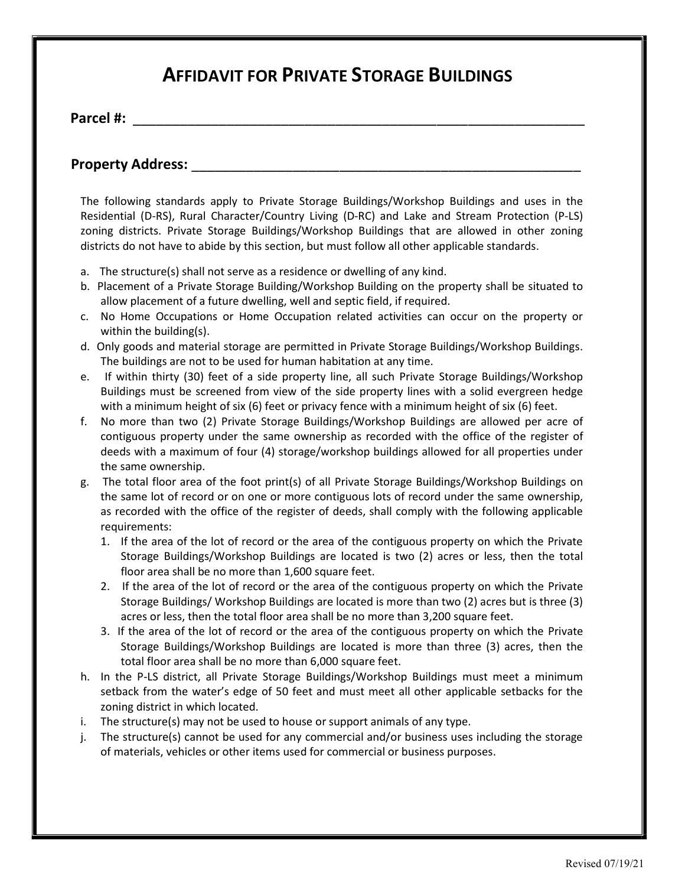## AFFIDAVIT FOR PRIVATE STORAGE BUILDINGS

Parcel #: \_\_\_\_\_\_\_\_\_\_\_\_\_\_\_\_\_\_\_\_\_\_\_\_\_\_\_\_\_\_\_\_\_\_\_\_\_\_\_\_\_\_\_\_\_\_\_\_\_\_\_\_\_\_\_\_\_\_

## Property Address: **Example 20**

The following standards apply to Private Storage Buildings/Workshop Buildings and uses in the Residential (D-RS), Rural Character/Country Living (D-RC) and Lake and Stream Protection (P-LS) zoning districts. Private Storage Buildings/Workshop Buildings that are allowed in other zoning districts do not have to abide by this section, but must follow all other applicable standards.

- a. The structure(s) shall not serve as a residence or dwelling of any kind.
- b. Placement of a Private Storage Building/Workshop Building on the property shall be situated to allow placement of a future dwelling, well and septic field, if required.
- c. No Home Occupations or Home Occupation related activities can occur on the property or within the building(s).
- d. Only goods and material storage are permitted in Private Storage Buildings/Workshop Buildings. The buildings are not to be used for human habitation at any time.
- e. If within thirty (30) feet of a side property line, all such Private Storage Buildings/Workshop Buildings must be screened from view of the side property lines with a solid evergreen hedge with a minimum height of six (6) feet or privacy fence with a minimum height of six (6) feet.
- f. No more than two (2) Private Storage Buildings/Workshop Buildings are allowed per acre of contiguous property under the same ownership as recorded with the office of the register of deeds with a maximum of four (4) storage/workshop buildings allowed for all properties under the same ownership.
- g. The total floor area of the foot print(s) of all Private Storage Buildings/Workshop Buildings on the same lot of record or on one or more contiguous lots of record under the same ownership, as recorded with the office of the register of deeds, shall comply with the following applicable requirements:
	- 1. If the area of the lot of record or the area of the contiguous property on which the Private Storage Buildings/Workshop Buildings are located is two (2) acres or less, then the total floor area shall be no more than 1,600 square feet.
	- 2. If the area of the lot of record or the area of the contiguous property on which the Private Storage Buildings/ Workshop Buildings are located is more than two (2) acres but is three (3) acres or less, then the total floor area shall be no more than 3,200 square feet.
	- 3. If the area of the lot of record or the area of the contiguous property on which the Private Storage Buildings/Workshop Buildings are located is more than three (3) acres, then the total floor area shall be no more than 6,000 square feet.
- h. In the P-LS district, all Private Storage Buildings/Workshop Buildings must meet a minimum setback from the water's edge of 50 feet and must meet all other applicable setbacks for the zoning district in which located.
- i. The structure(s) may not be used to house or support animals of any type.
- j. The structure(s) cannot be used for any commercial and/or business uses including the storage of materials, vehicles or other items used for commercial or business purposes.